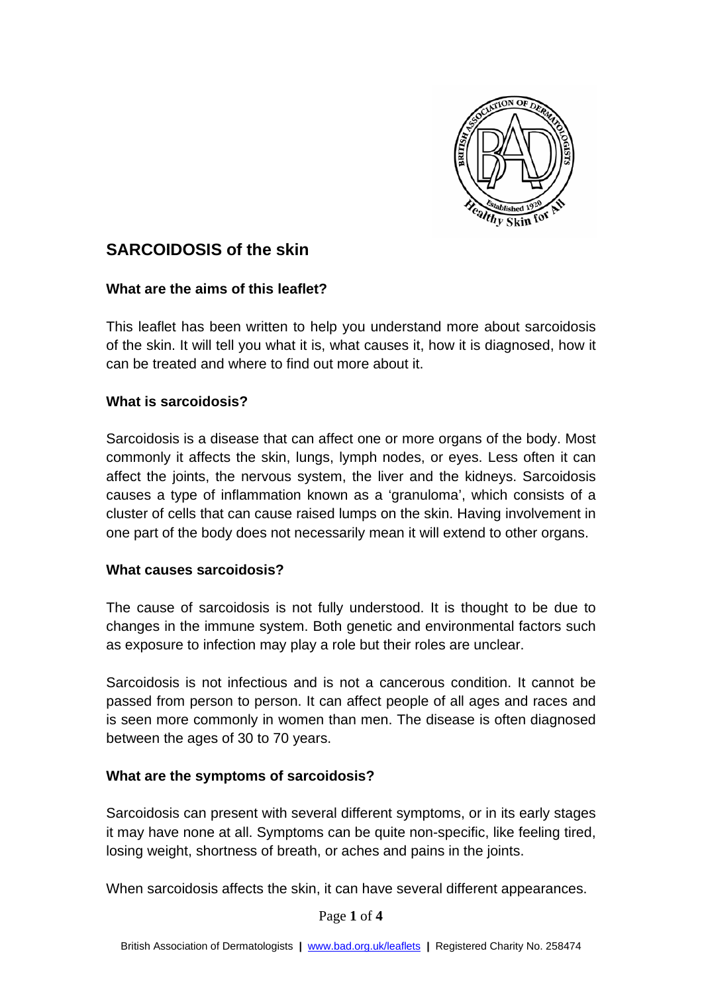

# **SARCOIDOSIS of the skin**

# **What are the aims of this leaflet?**

This leaflet has been written to help you understand more about sarcoidosis of the skin. It will tell you what it is, what causes it, how it is diagnosed, how it can be treated and where to find out more about it.

## **What is sarcoidosis?**

Sarcoidosis is a disease that can affect one or more organs of the body. Most commonly it affects the skin, lungs, lymph nodes, or eyes. Less often it can affect the joints, the nervous system, the liver and the kidneys. Sarcoidosis causes a type of inflammation known as a 'granuloma', which consists of a cluster of cells that can cause raised lumps on the skin. Having involvement in one part of the body does not necessarily mean it will extend to other organs.

#### **What causes sarcoidosis?**

The cause of sarcoidosis is not fully understood. It is thought to be due to changes in the immune system. Both genetic and environmental factors such as exposure to infection may play a role but their roles are unclear.

Sarcoidosis is not infectious and is not a cancerous condition. It cannot be passed from person to person. It can affect people of all ages and races and is seen more commonly in women than men. The disease is often diagnosed between the ages of 30 to 70 years.

#### **What are the symptoms of sarcoidosis?**

Sarcoidosis can present with several different symptoms, or in its early stages it may have none at all. Symptoms can be quite non-specific, like feeling tired, losing weight, shortness of breath, or aches and pains in the joints.

When sarcoidosis affects the skin, it can have several different appearances.

Page **1** of **4**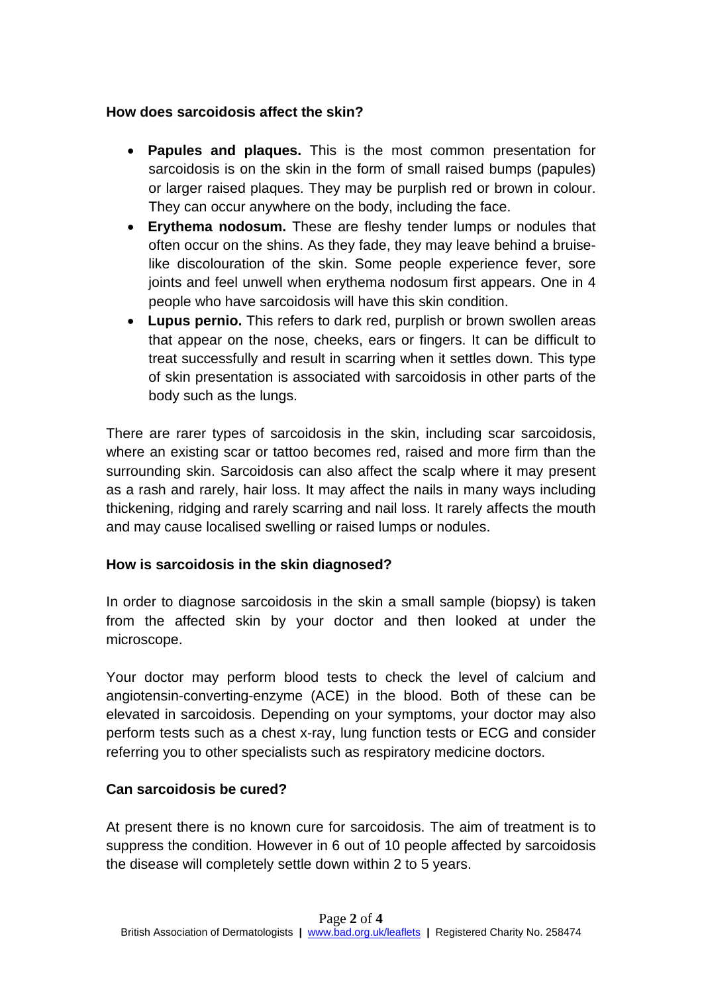## **How does sarcoidosis affect the skin?**

- **Papules and plaques.** This is the most common presentation for sarcoidosis is on the skin in the form of small raised bumps (papules) or larger raised plaques. They may be purplish red or brown in colour. They can occur anywhere on the body, including the face.
- **Erythema nodosum.** These are fleshy tender lumps or nodules that often occur on the shins. As they fade, they may leave behind a bruiselike discolouration of the skin. Some people experience fever, sore joints and feel unwell when erythema nodosum first appears. One in 4 people who have sarcoidosis will have this skin condition.
- **Lupus pernio.** This refers to dark red, purplish or brown swollen areas that appear on the nose, cheeks, ears or fingers. It can be difficult to treat successfully and result in scarring when it settles down. This type of skin presentation is associated with sarcoidosis in other parts of the body such as the lungs.

There are rarer types of sarcoidosis in the skin, including scar sarcoidosis, where an existing scar or tattoo becomes red, raised and more firm than the surrounding skin. Sarcoidosis can also affect the scalp where it may present as a rash and rarely, hair loss. It may affect the nails in many ways including thickening, ridging and rarely scarring and nail loss. It rarely affects the mouth and may cause localised swelling or raised lumps or nodules.

# **How is sarcoidosis in the skin diagnosed?**

In order to diagnose sarcoidosis in the skin a small sample (biopsy) is taken from the affected skin by your doctor and then looked at under the microscope.

Your doctor may perform blood tests to check the level of calcium and angiotensin-converting-enzyme (ACE) in the blood. Both of these can be elevated in sarcoidosis. Depending on your symptoms, your doctor may also perform tests such as a chest x-ray, lung function tests or ECG and consider referring you to other specialists such as respiratory medicine doctors.

# **Can sarcoidosis be cured?**

At present there is no known cure for sarcoidosis. The aim of treatment is to suppress the condition. However in 6 out of 10 people affected by sarcoidosis the disease will completely settle down within 2 to 5 years.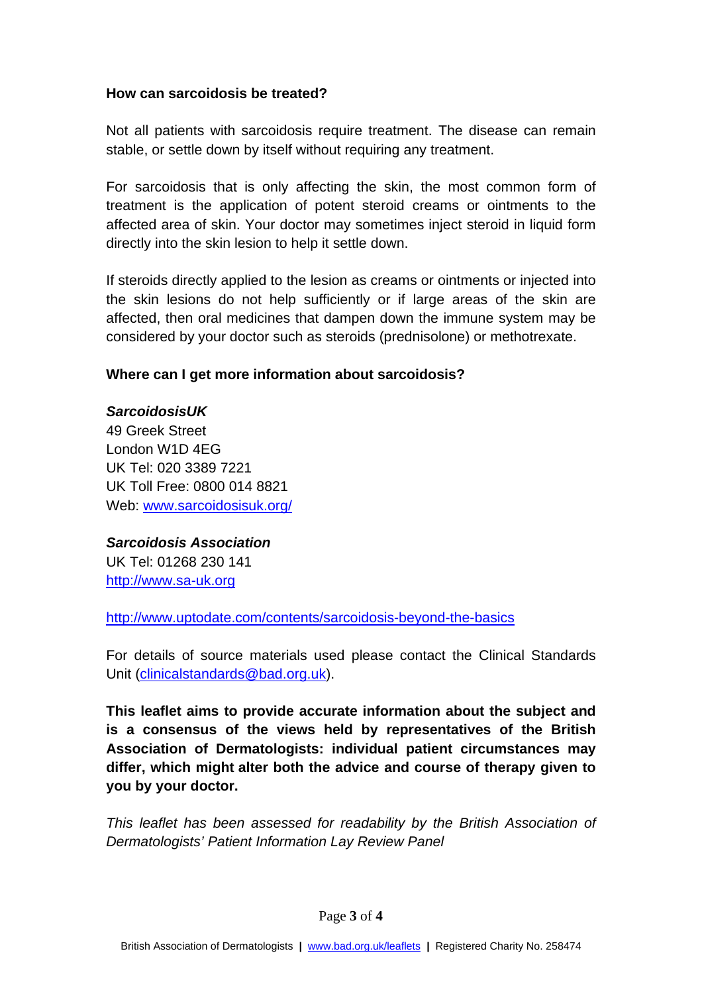#### **How can sarcoidosis be treated?**

Not all patients with sarcoidosis require treatment. The disease can remain stable, or settle down by itself without requiring any treatment.

For sarcoidosis that is only affecting the skin, the most common form of treatment is the application of potent steroid creams or ointments to the affected area of skin. Your doctor may sometimes inject steroid in liquid form directly into the skin lesion to help it settle down.

If steroids directly applied to the lesion as creams or ointments or injected into the skin lesions do not help sufficiently or if large areas of the skin are affected, then oral medicines that dampen down the immune system may be considered by your doctor such as steroids (prednisolone) or methotrexate.

## **Where can I get more information about sarcoidosis?**

## *SarcoidosisUK*

49 Greek Street London W1D 4EG UK Tel: 020 3389 7221 UK Toll Free: 0800 014 8821 Web: [www.sarcoidosisuk.org/](http://www.sarcoidosisuk.org/)

# *Sarcoidosis Association*

UK Tel: 01268 230 141 [http://www.sa-uk.org](http://www.sa-uk.org/)

http:/[/www.uptodate.com/contents/sarcoidosis-beyond-the-basics](http://www.uptodate.com/contents/sarcoidosis-beyond-the-basics)

For details of source materials used please contact the Clinical Standards Unit [\(clinicalstandards@bad.org.uk\)](mailto:clinicalstandards@bad.org.uk).

**This leaflet aims to provide accurate information about the subject and is a consensus of the views held by representatives of the British Association of Dermatologists: individual patient circumstances may differ, which might alter both the advice and course of therapy given to you by your doctor.**

*This leaflet has been assessed for readability by the British Association of Dermatologists' Patient Information Lay Review Panel*